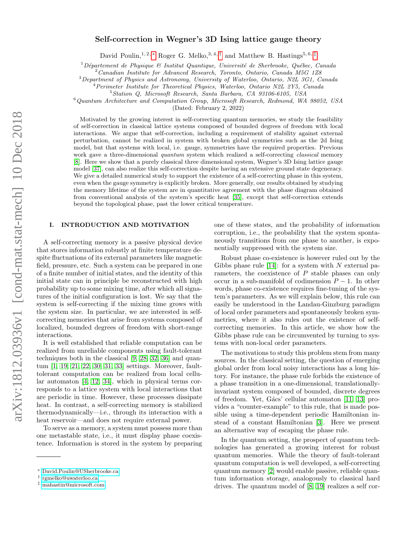# Self-correction in Wegner's 3D Ising lattice gauge theory

David Poulin,<sup>1, 2, \*</sup> Roger G. Melko,<sup>3, 4, [†](#page-0-1)</sup> and Matthew B. Hastings<sup>5, 6, [‡](#page-0-2)</sup>

 $1Département de Physique & Institut Quantique, Université de Sherbrooke, Québec, Canada$ 

 $2$ Canadian Institute for Advanced Research, Toronto, Ontario, Canada M5G 1Z8

<sup>3</sup>Department of Physics and Astronomy, University of Waterloo, Ontario, N2L 3G1, Canada

<sup>4</sup>Perimeter Institute for Theoretical Physics, Waterloo, Ontario N2L 2Y5, Canada

<sup>5</sup>Station Q, Microsoft Research, Santa Barbara, CA 93106-6105, USA

<sup>6</sup>Quantum Architecture and Computation Group, Microsoft Research, Redmond, WA 98052, USA

(Dated: February 2, 2022)

Motivated by the growing interest in self-correcting quantum memories, we study the feasibility of self-correction in classical lattice systems composed of bounded degrees of freedom with local interactions. We argue that self-correction, including a requirement of stability against external perturbation, cannot be realized in system with broken global symmetries such as the 2d Ising model, but that systems with local, i.e. gauge, symmetries have the required properties. Previous work gave a three-dimensional *quantum* system which realized a self-correcting *classical* memory [\[8\]](#page-6-0). Here we show that a purely classical three dimensional system, Wegner's 3D Ising lattice gauge model [\[37\]](#page-7-0), can also realize this self-correction despite having an extensive ground state degeneracy. We give a detailed numerical study to support the existence of a self-correcting phase in this system, even when the gauge symmetry is explicitly broken. More generally, our results obtained by studying the memory lifetime of the system are in quantitative agreement with the phase diagram obtained from conventional analysis of the system's specific heat [\[35\]](#page-7-1), except that self-correction extends beyond the topological phase, past the lower critical temperature.

# I. INTRODUCTION AND MOTIVATION

A self-correcting memory is a passive physical device that stores information robustly at finite temperature despite fluctuations of its external parameters like magnetic field, pressure, etc. Such a system can be prepared in one of a finite number of initial states, and the identity of this initial state can in principle be reconstructed with high probability up to some mixing time, after which all signatures of the initial configuration is lost. We say that the system is self-correcting if the mixing time grows with the system size. In particular, we are interested in selfcorrecting memories that arise from systems composed of localized, bounded degrees of freedom with short-range interactions.

It is well established that reliable computation can be realized from unreliable components using fault-tolerant techniques both in the classical [\[9,](#page-6-1) [28,](#page-6-2) [32,](#page-7-2) [36\]](#page-7-3) and quantum [\[1,](#page-6-3) [19,](#page-6-4) [21,](#page-6-5) [22,](#page-6-6) [30,](#page-6-7) [31,](#page-6-8) [33\]](#page-7-4) settings. Moreover, faulttolerant computation can be realized from local cellular automaton [\[4,](#page-6-9) [12,](#page-6-10) [34\]](#page-7-5), which in physical terms corresponds to a lattice system with local interactions that are periodic in time. However, these processes dissipate heat. In contrast, a self-correcting memory is stabilized thermodynamically—i.e., through its interaction with a heat reservoir—and does not require external power.

To serve as a memory, a system must possess more than one metastable state, i.e., it must display phase coexistence. Information is stored in the system by preparing one of these states, and the probability of information corruption, i.e., the probability that the system spontaneously transitions from one phase to another, is exponentially suppressed with the system size.

Robust phase co-existence is however ruled out by the Gibbs phase rule [\[14\]](#page-6-11): for a system with N external parameters, the coexistence of P stable phases can only occur in a sub-manifold of codimension  $P-1$ . In other words, phase co-existence requires fine-tuning of the system's parameters. As we will explain below, this rule can easily be understood in the Landau-Ginzburg paradigm of local order parameters and spontaneously broken symmetries, where it also rules out the existence of selfcorrecting memories. In this article, we show how the Gibbs phase rule can be circumvented by turning to systems with non-local order parameters.

The motivations to study this problem stem from many sources. In the classical setting, the question of emerging global order from local noisy interactions has a long history. For instance, the phase rule forbids the existence of a phase transition in a one-dimensional, translationallyinvariant system composed of bounded, discrete degrees of freedom. Yet, Gács' cellular automaton [\[11,](#page-6-12) [13\]](#page-6-13) provides a "counter-example" to this rule, that is made possible using a time-dependent periodic Hamiltonian instead of a constant Hamiltonian [\[3\]](#page-6-14). Here we present an alternative way of escaping the phase rule.

In the quantum setting, the prospect of quantum technologies has generated a growing interest for robust quantum memories. While the theory of fault-tolerant quantum computation is well developed, a self-correcting quantum memory [\[2\]](#page-6-15) would enable passive, reliable quantum information storage, analogously to classical hard drives. The quantum model of [\[8,](#page-6-0) [19\]](#page-6-4) realizes a self cor-

<span id="page-0-0"></span><sup>∗</sup> [David.Poulin@USherbrooke.ca](mailto:David.Poulin@USherbrooke.ca)

<span id="page-0-1"></span><sup>†</sup> [rgmelko@uwaterloo.ca](mailto:rgmelko@uwaterloo.ca)

<span id="page-0-2"></span><sup>‡</sup> [mahastin@microsoft.com](mailto:mahastin@microsoft.com)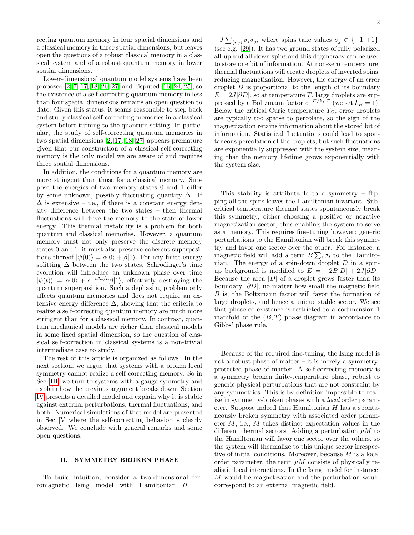recting quantum memory in four spacial dimensions and a classical memory in three spatial dimensions, but leaves open the questions of a robust classical memory in a classical system and of a robust quantum memory in lower spatial dimensions.

Lower-dimensional quantum model systems have been proposed [\[2,](#page-6-15) [7,](#page-6-16) [17,](#page-6-17) [18,](#page-6-18) [26,](#page-6-19) [27\]](#page-6-20) and disputed [\[16,](#page-6-21) [24,](#page-6-22) [25\]](#page-6-23), so the existence of a self-correcting quantum memory in less than four spatial dimensions remains an open question to date. Given this status, it seams reasonable to step back and study classical self-correcting memories in a classical system before turning to the quantum setting. In particular, the study of self-correcting quantum memories in two spatial dimensions [\[2,](#page-6-15) [17,](#page-6-17) [18,](#page-6-18) [27\]](#page-6-20) appears premature given that our construction of a classical self-correcting memory is the only model we are aware of and requires three spatial dimensions.

In addition, the conditions for a quantum memory are more stringent than those for a classical memory. Suppose the energies of two memory states 0 and 1 differ by some unknown, possibly fluctuating quantity  $\Delta$ . If  $\Delta$  is extensive – i.e., if there is a constant energy density difference between the two states – then thermal fluctuations will drive the memory to the state of lower energy. This thermal instability is a problem for both quantum and classical memories. However, a quantum memory must not only preserve the discrete memory states 0 and 1, it must also preserve coherent superpositions thereof  $|\psi(0)\rangle = \alpha|0\rangle + \beta|1\rangle$ . For any finite energy splitting  $\Delta$  between the two states, Schrödinger's time evolution will introduce an unknown phase over time  $|\psi(t)\rangle = \alpha|0\rangle + e^{-i\Delta t/\hbar} \beta|1\rangle$ , effectively destroying the quantum superposition. Such a dephasing problem only affects quantum memories and does not require an extensive energy difference  $\Delta$ , showing that the criteria to realize a self-correcting quantum memory are much more stringent than for a classical memory. In contrast, quantum mechanical models are richer than classical models in some fixed spatial dimension, so the question of classical self-correction in classical systems is a non-trivial intermediate case to study.

The rest of this article is organized as follows. In the next section, we argue that systems with a broken local symmetry cannot realize a self-correcting memory. So in Sec. [III,](#page-2-0) we turn to systems with a gauge symmetry and explain how the previous argument breaks down. Section [IV](#page-2-1) presents a detailed model and explain why it is stable against external perturbations, thermal fluctuations, and both. Numerical simulations of that model are presented in Sec. [V](#page-4-0) where the self-correcting behavior is clearly observed. We conclude with general remarks and some open questions.

## II. SYMMETRY BROKEN PHASE

To build intuition, consider a two-dimensional ferromagnetic Ising model with Hamiltonian  $H$ 

 $-J\sum_{\langle i,j\rangle} \sigma_i \sigma_j$ , where spins take values  $\sigma_j \in \{-1,+1\},\$ (see e.g. [\[29\]](#page-6-24)). It has two ground states of fully polarized all-up and all-down spins and this degeneracy can be used to store one bit of information. At non-zero temperature, thermal fluctuations will create droplets of inverted spins, reducing magnetization. However, the energy of an error droplet  $D$  is proportional to the length of its boundary  $E = 2J|\partial D|$ , so at temperature T, large droplets are suppressed by a Boltzmann factor  $e^{-E/k_BT}$  (we set  $k_B = 1$ ). Below the critical Curie temperature  $T_C$ , error droplets are typically too sparse to percolate, so the sign of the magnetization retains information about the stored bit of information. Statistical fluctuations could lead to spontaneous percolation of the droplets, but such fluctuations are exponentially suppressed with the system size, meaning that the memory lifetime grows exponentially with the system size.

This stability is attributable to a symmetry  $-$  flipping all the spins leaves the Hamiltonian invariant. Subcritical temperature thermal states spontaneously break this symmetry, either choosing a positive or negative magnetization sector, thus enabling the system to serve as a memory. This requires fine-tuning however: generic perturbations to the Hamiltonian will break this symmetry and favor one sector over the other. For instance, a magnetic field will add a term  $B\sum_i \sigma_i$  to the Hamiltonian. The energy of a spin-down droplet  $D$  in a spinup background is modified to  $E = -2B|D| + 2J|\partial D|$ . Because the area  $|D|$  of a droplet grows faster than its boundary  $|\partial D|$ , no matter how small the magnetic field B is, the Boltzmann factor will favor the formation of large droplets, and hence a unique stable sector. We see that phase co-existence is restricted to a codimension 1 manifold of the  $(B, T)$  phase diagram in accordance to Gibbs' phase rule.

Because of the required fine-tuning, the Ising model is not a robust phase of matter – it is merely a symmetryprotected phase of matter. A self-correcting memory is a symmetry broken finite-temperature phase, robust to generic physical perturbations that are not constraint by any symmetries. This is by definition impossible to realize in symmetry-broken phases with a local order parameter. Suppose indeed that Hamiltonian  $H$  has a spontaneously broken symmetry with associated order parameter  $M$ , i.e.,  $M$  takes distinct expectation values in the different thermal sectors. Adding a perturbation  $\mu$ M to the Hamiltonian will favor one sector over the others, so the system will thermalize to this unique sector irrespective of initial conditions. Moreover, because M is a local order parameter, the term  $\mu$ M consists of physically realistic local interactions. In the Ising model for instance, M would be magnetization and the perturbation would correspond to an external magnetic field.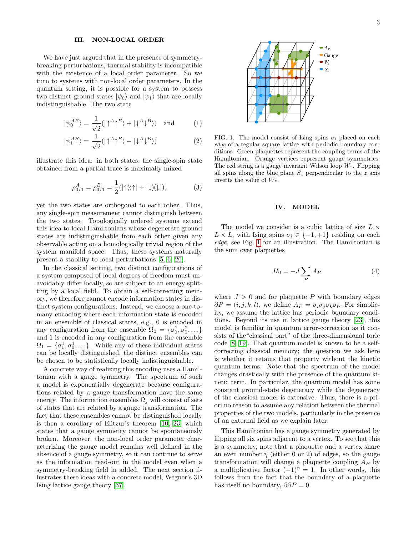# <span id="page-2-0"></span>III. NON-LOCAL ORDER

We have just argued that in the presence of symmetrybreaking perturbations, thermal stability is incompatible with the existence of a local order parameter. So we turn to systems with non-local order parameters. In the quantum setting, it is possible for a system to possess two distinct ground states  $|\psi_0\rangle$  and  $|\psi_1\rangle$  that are locally indistinguishable. The two state

$$
|\psi_0^{AB}\rangle = \frac{1}{\sqrt{2}} (|\uparrow^A \uparrow^B \rangle + |\downarrow^A \downarrow^B \rangle) \text{ and } (1)
$$

$$
|\psi_1^{AB}\rangle = \frac{1}{\sqrt{2}} (|\uparrow^A \uparrow^B \rangle - |\downarrow^A \downarrow^B \rangle)
$$
 (2)

illustrate this idea: in both states, the single-spin state obtained from a partial trace is maximally mixed

$$
\rho_{0/1}^A = \rho_{0/1}^B = \frac{1}{2}(|\uparrow\rangle\langle\uparrow| + |\downarrow\rangle\langle\downarrow|),\tag{3}
$$

yet the two states are orthogonal to each other. Thus, any single-spin measurement cannot distinguish between the two states. Topologically ordered systems extend this idea to local Hamiltonians whose degenerate ground states are indistinguishable from each other given any observable acting on a homologically trivial region of the system manifold space. Thus, these systems naturally present a stability to local perturbations [\[5,](#page-6-25) [6,](#page-6-26) [20\]](#page-6-27).

In the classical setting, two distinct configurations of a system composed of local degrees of freedom must unavoidably differ locally, so are subject to an energy splitting by a local field. To obtain a self-correcting memory, we therefore cannot encode information states in distinct system configurations. Instead, we choose a one-tomany encoding where each information state is encoded in an ensemble of classical states, e.g., 0 is encoded in any configuration from the ensemble  $\Omega_0 = {\sigma_0^1, \sigma_0^2, \ldots}$ and 1 is encoded in any configuration from the ensemble  $\Omega_1 = {\sigma_1^1, \sigma_0^1, \ldots}$ . While any of these individual states can be locally distinguished, the distinct ensembles can be chosen to be statistically locally indistinguishable.

A concrete way of realizing this encoding uses a Hamiltonian with a gauge symmetry. The spectrum of such a model is exponentially degenerate because configurations related by a gauge transformation have the same energy. The information ensembles  $\Omega_i$  will consist of sets of states that are related by a gauge transformation. The fact that these ensembles cannot be distinguished locally is then a corollary of Elitzur's theorem [\[10,](#page-6-28) [23\]](#page-6-29) which states that a gauge symmetry cannot be spontaneously broken. Moreover, the non-local order parameter characterizing the gauge model remains well defined in the absence of a gauge symmetry, so it can continue to serve as the information read-out in the model even when a symmetry-breaking field in added. The next section illustrates these ideas with a concrete model, Wegner's 3D Ising lattice gauge theory [\[37\]](#page-7-0).



<span id="page-2-2"></span>FIG. 1. The model consist of Ising spins  $\sigma_i$  placed on each edge of a regular square lattice with periodic boundary conditions. Green plaquettes represent the coupling terms of the Hamiltonian. Orange vertices represent gauge symmetries. The red string is a gauge invariant Wilson loop  $W_z$ . Flipping all spins along the blue plane  $S_z$  perpendicular to the z axis inverts the value of  $W_z$ .

# <span id="page-2-1"></span>IV. MODEL

The model we consider is a cubic lattice of size  $L \times$  $L \times L$ , with Ising spins  $\sigma_i \in \{-1, +1\}$  residing on each edge, see Fig. [1](#page-2-2) for an illustration. The Hamiltonian is the sum over plaquettes

<span id="page-2-3"></span>
$$
H_0 = -J\sum_P A_P \tag{4}
$$

where  $J > 0$  and for plaquette P with boundary edges  $\partial P = (i, j, k, l)$ , we define  $A_P = \sigma_i \sigma_j \sigma_k \sigma_l$ . For simplicity, we assume the lattice has periodic boundary conditions. Beyond its use in lattice gauge theory [\[23\]](#page-6-29), this model is familiar in quantum error-correction as it consists of the"classical part" of the three-dimensional toric code [\[8,](#page-6-0) [19\]](#page-6-4). That quantum model is known to be a selfcorrecting classical memory; the question we ask here is whether it retains that property without the kinetic quantum terms. Note that the spectrum of the model changes drastically with the presence of the quantum kinetic term. In particular, the quantum model has some constant ground-state degeneracy while the degeneracy of the classical model is extensive. Thus, there is a priori no reason to assume any relation between the thermal properties of the two models, particularly in the presence of an external field as we explain later.

This Hamiltonian has a gauge symmetry generated by flipping all six spins adjacent to a vertex. To see that this is a symmetry, note that a plaquette and a vertex share an even number  $\eta$  (either 0 or 2) of edges, so the gauge transformation will change a plaquette coupling  $A_P$  by a multiplicative factor  $(-1)^{\eta} = 1$ . In other words, this follows from the fact that the boundary of a plaquette has itself no boundary,  $\partial \partial P = 0$ .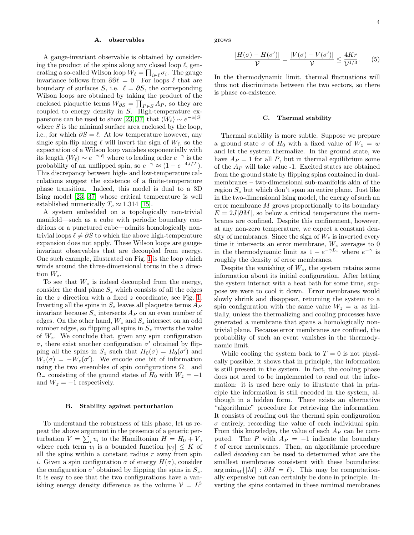#### A. observables

A gauge-invariant observable is obtained by considering the product of the spins along any closed loop  $\ell$ , generating a so-called Wilson loop  $W_{\ell} = \prod_{i \in \ell} \sigma_i$ . The gauge invariance follows from  $\partial \partial \ell = 0$ . For loops  $\ell$  that are boundary of surfaces S, i.e.  $\ell = \partial S$ , the corresponding Wilson loops are obtained by taking the product of the enclosed plaquette terms  $W_{\partial S} = \prod_{P \in S} A_P$ , so they are coupled to energy density in S. High-temperature ex-pansions can be used to show [\[23,](#page-6-29) [37\]](#page-7-0) that  $\langle W_{\ell} \rangle \sim e^{-\alpha |S|}$ where  $S$  is the minimal surface area enclosed by the loop, i.e., for which  $\partial S = \ell$ . At low temperature however, any single spin-flip along  $\ell$  will invert the sign of  $W_{\ell}$ , so the expectation of a Wilson loop vanishes exponentially with its length  $\langle W_\ell \rangle \sim e^{-\gamma |\ell|}$  where to leading order  $e^{-\gamma}$  is the probability of an unflipped spin, so  $e^{-\gamma} \approx (1 - e^{-4J/T})$ . This discrepancy between high- and low-temperature calculations suggest the existence of a finite-temperature phase transition. Indeed, this model is dual to a 3D Ising model [\[23,](#page-6-29) [37\]](#page-7-0) whose critical temperature is well established numerically  $T_c \approx 1.314$  [\[15\]](#page-6-30).

A system embedded on a topologically non-trivial manifold—such as a cube with periodic boundary conditions or a punctured cube—admits homologically nontrivial loops  $\ell \neq \partial S$  to which the above high-temperature expansion does not apply. These Wilson loops are gaugeinvariant observables that are decoupled from energy. One such example, illustrated on Fig. [1](#page-2-2) is the loop which winds around the three-dimensional torus in the z direction  $W_z$ .

To see that  $W_z$  is indeed decoupled from the energy, consider the dual plane  $S_z$  which consists of all the edges in the z direction with a fixed z coordinate, see Fig. [1.](#page-2-2) Inverting all the spins in  $S_z$  leaves all plaquette terms  $A_P$ invariant because  $S_z$  intersects  $A_P$  on an even number of edges. On the other hand,  $W_z$  and  $S_z$  intersect on an odd number edges, so flipping all spins in  $S_z$  inverts the value of  $W_z$ . We conclude that, given any spin configuration  $\sigma$ , there exist another configuration  $\sigma'$  obtained by flipping all the spins in  $S_z$  such that  $H_0(\sigma) = H_0(\sigma')$  and  $W_z(\sigma) = -W_z(\sigma')$ . We encode one bit of information using the two ensembles of spin configurations  $\Omega_{+}$  and  $\Omega$ <sub>−</sub> consisting of the ground states of  $H_0$  with  $W_z = +1$ and  $W_z = -1$  respectively.

#### B. Stability against perturbation

To understand the robustness of this phase, let us repeat the above argument in the presence of a generic perturbation  $V = \sum_i v_i$  to the Hamiltonian  $H = H_0 + V$ , where each term  $v_i$  is a bounded function  $|v_j| \leq K$  of all the spins within a constant radius  $r$  away from spin i. Given a spin configuration  $\sigma$  of energy  $H(\sigma)$ , consider the configuration  $\sigma'$  obtained by flipping the spins in  $S_z$ . It is easy to see that the two configurations have a vanishing energy density difference as the volume  $\mathcal{V} = L^3$ 

grows

$$
\frac{|H(\sigma) - H(\sigma')|}{\mathcal{V}} = \frac{|V(\sigma) - V(\sigma')|}{\mathcal{V}} \le \frac{4Kr}{\mathcal{V}^{1/3}}.
$$
 (5)

In the thermodynamic limit, thermal fluctuations will thus not discriminate between the two sectors, so there is phase co-existence.

#### C. Thermal stability

Thermal stability is more subtle. Suppose we prepare a ground state  $\sigma$  of  $H_0$  with a fixed value of  $W_z = w$ and let the system thermalize. In the ground state, we have  $A_P = 1$  for all P, but in thermal equilibrium some of the  $A_P$  will take value -1. Excited states are obtained from the ground state by flipping spins contained in dualmembranes – two-dimensional sub-manifolds akin of the region  $S<sub>z</sub>$  but which don't span an entire plane. Just like in the two-dimensional Ising model, the energy of such an error membrane M grows proportionally to its boundary  $E = 2J|\partial M|$ , so below a critical temperature the membranes are confined. Despite this confinement, however, at any non-zero temperature, we expect a constant density of membranes. Since the sign of  $W_z$  is inverted every time it intersects an error membrane,  $W_z$  averages to 0 in the thermodynamic limit as  $1 - e^{-\gamma L_z}$  where  $e^{-\gamma}$  is roughly the density of error membranes.

Despite the vanishing of  $W_z$ , the system retains some information about its initial configuration. After letting the system interact with a heat bath for some time, suppose we were to cool it down. Error membranes would slowly shrink and disappear, returning the system to a spin configuration with the same value  $W_z = w$  as initially, unless the thermalizing and cooling processes have generated a membrane that spans a homologically nontrivial plane. Because error membranes are confined, the probability of such an event vanishes in the thermodynamic limit.

While cooling the system back to  $T = 0$  is not physically possible, it shows that in principle, the information is still present in the system. In fact, the cooling phase does not need to be implemented to read out the information: it is used here only to illustrate that in principle the information is still encoded in the system, although in a hidden form. There exists an alternative "algorithmic" procedure for retrieving the information. It consists of reading out the thermal spin configuration  $\sigma$  entirely, recording the value of each individual spin. From this knowledge, the value of each  $A_P$  can be computed. The P with  $A_P = -1$  indicate the boundary  $\ell$  of error membranes. Then, an algorithmic procedure called decoding can be used to determined what are the smallest membranes consistent with these boundaries:  $\arg \min_{M} \{|M| : \partial M = \ell\}.$  This may be computationally expensive but can certainly be done in principle. Inverting the spins contained in these minimal membranes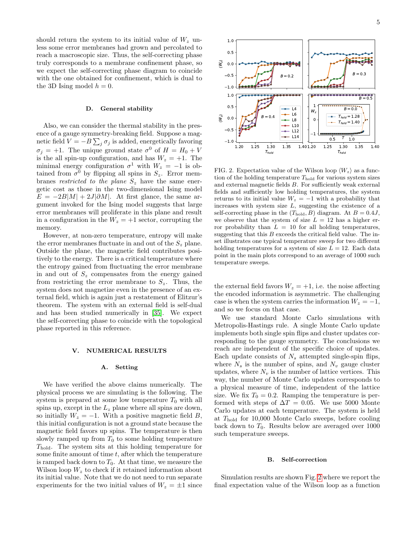should return the system to its initial value of  $W_z$  unless some error membranes had grown and percolated to reach a macroscopic size. Thus, the self-correcting phase truly corresponds to a membrane confinement phase, so we expect the self-correcting phase diagram to coincide with the one obtained for confinement, which is dual to the 3D Ising model  $h = 0$ .

#### <span id="page-4-2"></span>D. General stability

Also, we can consider the thermal stability in the presence of a gauge symmetry-breaking field. Suppose a magnetic field  $V = -B \sum_j \sigma_j$  is added, energetically favoring  $\sigma_j = +1$ . The unique ground state  $\sigma^0$  of  $H = H_0 + V$ is the all spin-up configuration, and has  $W_z = +1$ . The minimal energy configuration  $\sigma^1$  with  $W_z = -1$  is obtained from  $\sigma^0$  by flipping all spins in  $S_z$ . Error membranes restricted to the plane  $S_z$  have the same energetic cost as those in the two-dimensional Ising model  $E = -2B|M| + 2J|\partial M|$ . At first glance, the same argument invoked for the Ising model suggests that large error membranes will proliferate in this plane and result in a configuration in the  $W_z = +1$  sector, corrupting the memory.

However, at non-zero temperature, entropy will make the error membranes fluctuate in and out of the  $S<sub>z</sub>$  plane. Outside the plane, the magnetic field contributes positively to the energy. There is a critical temperature where the entropy gained from fluctuating the error membrane in and out of  $S_z$  compensates from the energy gained from restricting the error membrane to  $S_z$ . Thus, the system does not magnetize even in the presence of an external field, which is again just a restatement of Elitzur's theorem. The system with an external field is self-dual and has been studied numerically in [\[35\]](#page-7-1). We expect the self-correcting phase to coincide with the topological phase reported in this reference.

#### <span id="page-4-0"></span>V. NUMERICAL RESULTS

## A. Setting

We have verified the above claims numerically. The physical process we are simulating is the following. The system is prepared at some low temperature  $T_0$  with all spins up, except in the  $L_z$  plane where all spins are down, so initially  $W_z = -1$ . With a positive magnetic field B, this initial configuration is not a ground state because the magnetic field favors up spins. The temperature is then slowly ramped up from  $T_0$  to some holding temperature Thold. The system sits at this holding temperature for some finite amount of time  $t$ , after which the temperature is ramped back down to  $T_0$ . At that time, we measure the Wilson loop  $W_z$  to check if it retained information about its initial value. Note that we do not need to run separate experiments for the two initial values of  $W_z = \pm 1$  since



<span id="page-4-1"></span>FIG. 2. Expectation value of the Wilson loop  $\langle W_z \rangle$  as a function of the holding temperature  $T_{hold}$  for various system sizes and external magnetic fields B. For sufficiently weak external fields and sufficiently low holding temperatures, the system returns to its initial value  $W_z = -1$  with a probability that increases with system size  $L$ , suggesting the existence of a self-correcting phase in the  $(T_{hold}, B)$  diagram. At  $B = 0.4J$ , we observe that the system of size  $L = 12$  has a higher error probability than  $L = 10$  for all holding temperatures, suggesting that this  $B$  exceeds the critical field value. The inset illustrates one typical temperature sweep for two different holding temperatures for a system of size  $L = 12$ . Each data point in the main plots correspond to an average of 1000 such temperature sweeps.

the external field favors  $W_z = +1$ , i.e. the noise affecting the encoded information is asymmetric. The challenging case is when the system carries the information  $W_z = -1$ , and so we focus on that case.

We use standard Monte Carlo simulations with Metropolis-Hastings rule. A single Monte Carlo update implements both single spin flips and cluster updates corresponding to the gauge symmetry. The conclusions we reach are independent of the specific choice of updates. Each update consists of  $N_s$  attempted single-spin flips, where  $N_s$  is the number of spins, and  $N_v$  gauge cluster updates, where  $N_v$  is the number of lattice vertices. This way, the number of Monte Carlo updates corresponds to a physical measure of time, independent of the lattice size. We fix  $T_0 = 0.2$ . Ramping the temperature is performed with steps of  $\Delta T = 0.05$ . We use 5000 Monte Carlo updates at each temperature. The system is held at  $T_{\text{hold}}$  for 10,000 Monte Carlo sweeps, before cooling back down to  $T_0$ . Results below are averaged over 1000 such temperature sweeps.

#### B. Self-correction

Simulation results are shown Fig. [2](#page-4-1) where we report the final expectation value of the Wilson loop as a function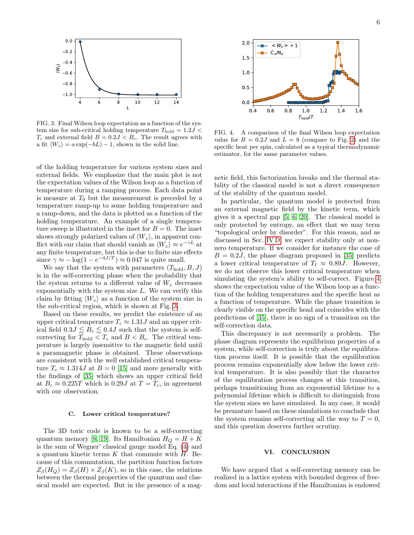

<span id="page-5-0"></span>FIG. 3. Final Wilson loop expectation as a function of the system size for sub-critical holding temperature  $T_{\text{hold}} = 1.2J <$  $T_c$  and external field  $B = 0.2J < B_c$ . The result agrees with a fit  $\langle W_z \rangle = a \exp(-bL) - 1$ , shown in the solid line.

of the holding temperature for various system sizes and external fields. We emphasize that the main plot is not the expectation values of the Wilson loop as a function of temperature during a ramping process. Each data point is measure at  $T_0$  but the measurement is preceded by a temperature ramp-up to some holding temperature and a ramp-down, and the data is plotted as a function of the holding temperature. An example of a single temperature sweep is illustrated in the inset for  $B = 0$ . The inset shows strongly polarized values of  $\langle W_z \rangle$ , in apparent conflict with our claim that should vanish as  $\langle W_z \rangle \approx e^{-\gamma L}$  at any finite temperature, but this is due to finite size effects since  $\gamma \approx -\log(1 - e^{-4J/T}) \approx 0.047$  is quite small.

We say that the system with parameters  $(T_{hold}, B, J)$ is in the self-correcting phase when the probability that the system returns to a different value of  $W<sub>z</sub>$  decreases exponentially with the system size  $L$ . We can verify this claim by fitting  $\langle W_z \rangle$  as a function of the system size in the sub-critical region, which is shown at Fig. [3.](#page-5-0)

Based on these results, we predict the existence of an upper critical temperature  $T_c \approx 1.31J$  and an upper critical field  $0.3J \lesssim B_c \lesssim 0.4J$  such that the system is selfcorrecting for  $T_{hold} < T_c$  and  $B < B_c$ . The critical temperature is largely insensitive to the magnetic field until a paramagnetic phase is obtained. These observations are consistent with the well established critical temperature  $T_c \approx 1.314J$  at  $B = 0$  [\[15\]](#page-6-30) and more generally with the findings of [\[35\]](#page-7-1) which shows an upper critical field at  $B_c \approx 0.225T$  which is 0.29J at  $T = T_c$ , in agreement with our observation.

#### C. Lower critical temperature?

The 3D toric code is known to be a self-correcting quantum memory [\[8,](#page-6-0) [19\]](#page-6-4). Its Hamiltonian  $H_Q = H + K$ is the sum of Wegner' classical gauge model Eq. [\(4\)](#page-2-3) and a quantum kinetic terms  $K$  that commute with  $H$ . Because of this commutation, the partition function factors  $Z_{\beta}(H_Q) = Z_{\beta}(H) \times Z_{\beta}(K)$ , so in this case, the relations between the thermal properties of the quantum and classical model are expected. But in the presence of a mag-



<span id="page-5-1"></span>FIG. 4. A comparison of the final Wilson loop expectation value for  $B = 0.2J$  and  $L = 8$  (compare to Fig. [2\)](#page-4-1) and the specific heat per spin, calculated as a typical thermodynamic estimator, for the same parameter values.

netic field, this factorization breaks and the thermal stability of the classical model is not a direct consequence of the stability of the quantum model.

In particular, the quantum model is protected from an external magnetic field by the kinetic term, which gives it a spectral gap [\[5,](#page-6-25) [6,](#page-6-26) [20\]](#page-6-27). The classical model is only protected by entropy, an effect that we may term "topological order by disorder". For this reason, and as discussed in Sec. [IV D,](#page-4-2) we expect stability only at nonzero temperature. If we consider for instance the case of  $B = 0.2J$ , the phase diagram proposed in [\[35\]](#page-7-1) predicts a lower critical temperature of  $T_\ell \approx 0.89J$ . However, we do not observe this lower critical temperature when simulating the system's ability to self-correct. Figure [4](#page-5-1) shows the expectation value of the Wilson loop as a function of the holding temperatures and the specific heat as a function of temperature. While the phase transition is clearly visible on the specific head and coincides with the predictions of [\[35\]](#page-7-1), there is no sign of a transition on the self-correction data.

This discrepancy is not necessarily a problem. The phase diagram represents the equilibrium properties of a system, while self-correction is truly about the equilibration process itself. It is possible that the equilibration process remains exponentially slow below the lower critical temperature. It is also possibly that the character of the equilibration process changes at this transition, perhaps transitioning from an exponential lifetime to a polynomial lifetime which is difficult to distinguish from the system sizes we have simulated. In any case, it would be premature based on these simulations to conclude that the system remains self-correcting all the way to  $T=0$ , and this question deserves further scrutiny.

## VI. CONCLUSION

We have argued that a self-correcting memory can be realized in a lattice system with bounded degrees of freedom and local interactions if the Hamiltonian is endowed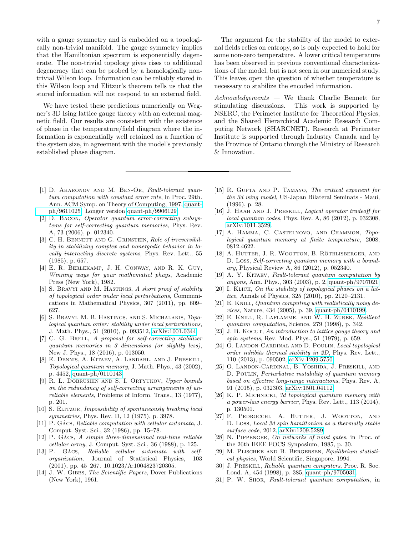with a gauge symmetry and is embedded on a topologically non-trivial manifold. The gauge symmetry implies that the Hamiltonian spectrum is exponentially degenerate. The non-trivial topology gives rises to additional degeneracy that can be probed by a homologically nontrivial Wilson loop. Information can be reliably stored in this Wilson loop and Elitzur's theorem tells us that the stored information will not respond to an external field.

We have tested these predictions numerically on Wegner's 3D Ising lattice gauge theory with an external magnetic field. Our results are consistent with the existence of phase in the temperature/field diagram where the information is exponentially well retained as a function of the system size, in agreement with the model's previously established phase diagram.

The argument for the stability of the model to external fields relies on entropy, so is only expected to hold for some non-zero temperature. A lower critical temperature has been observed in previous conventional characterizations of the model, but is not seen in our numerical study. This leaves open the question of whether temperature is necessary to stabilize the encoded information.

Acknowledgements — We thank Charlie Bennett for stimulating discussions. This work is supported by NSERC, the Perimeter Institute for Theoretical Physics, and the Shared Hierarchical Academic Research Computing Network (SHARCNET). Research at Perimeter Institute is supported through Industry Canada and by the Province of Ontario through the Ministry of Research & Innovation.

- <span id="page-6-3"></span>[1] D. Aharonov and M. Ben-Or, Fault-tolerant quantum computation with constant error rate, in Proc. 29th. Ann. ACM Symp. on Theory of Computing, 1997, [quant](http://arxiv.org/abs/quant-ph/9611025)[ph/9611025.](http://arxiv.org/abs/quant-ph/9611025) Longer version [quant-ph/9906129.](http://arxiv.org/abs/quant-ph/9906129)
- <span id="page-6-15"></span>[2] D. Bacon, Operator quantum error-correcting subsystems for self-correcting quantum memories, Phys. Rev. A, 73 (2006), p. 012340.
- <span id="page-6-14"></span>[3] C. H. BENNETT AND G. GRINSTEIN, Role of irreversibility in stabilizing complex and nonergodic behavior in locally interacting discrete systems, Phys. Rev. Lett., 55 (1985), p. 657.
- <span id="page-6-9"></span>[4] E. R. Berlekamp, J. H. Conway, and R. K. Guy, Winning ways for your mathematicl phays, Academic Press (New York), 1982.
- <span id="page-6-25"></span>[5] S. Bravyi and M. Hastings, A short proof of stability of topological order under local perturbations, Communications in Mathematical Physics, 307 (2011), pp. 609– 627.
- <span id="page-6-26"></span>[6] S. Bravyi, M. B. Hastings, and S. Michalakis, Topological quantum order: stability under local perturbations, J. Math. Phys., 51 (2010), p. 093512, [arXiv:1001.0344.](http://arxiv.org/abs/1001.0344)
- <span id="page-6-16"></span>[7] C. G. BRELL, A proposal for self-correcting stabilizer quantum memories in 3 dimensions (or slightly less), New J. Phys., 18 (2016), p. 013050.
- <span id="page-6-0"></span>[8] E. Dennis, A. Kitaev, A. Landahl, and J. Preskill, Topological quantum memory, J. Math. Phys., 43 (2002), p. 4452, [quant-ph/0110143.](http://arxiv.org/abs/quant-ph/0110143)
- <span id="page-6-1"></span>[9] R. L. DOBRUSHIN AND S. I. ORTYUKOV, Upper bounds on the redundancy of self-correcting arrangements of unreliable elements, Problems of Inform. Trans., 13 (1977), p. 201.
- <span id="page-6-28"></span>[10] S. ELITZUR, *Impossibility of spontaneously breaking local* symmetries, Phys. Rev. D, 12 (1975), p. 3978.
- <span id="page-6-12"></span> $[11]$  P. GÁCS, Reliable computation with cellular automata, J. Comput. Syst. Sci., 32 (1986), pp. 15–78.
- <span id="page-6-10"></span> $[12]$  P. GÁCS, A simple three-dimensional real-time reliable cellular array, J. Comput. Syst. Sci., 36 (1988), p. 125.
- <span id="page-6-13"></span> $[13]$  P. GÁCS, Reliable cellular automata with selforganization, Journal of Statistical Physics, 103 (2001), pp. 45–267. 10.1023/A:1004823720305.
- <span id="page-6-11"></span>[14] J. W. GIBBS, The Scientific Papers, Dover Publications (New York), 1961.
- <span id="page-6-30"></span>[15] R. GUPTA AND P. TAMAYO, The critical exponent for the 3d ising model, US-Japan Bilateral Seminats - Maui, (1996), p. 28.
- <span id="page-6-21"></span>[16] J. HAAH AND J. PRESKILL, *Logical operator tradeoff for* local quantum codes, Phys. Rev. A, 86 (2012), p. 032308, [arXiv:1011.3529.](http://arxiv.org/abs/1011.3529)
- <span id="page-6-17"></span>[17] A. Hamma, C. Castelnovo, and Chammon, Topological quantum memory at finite temperature, 2008, 0812.4622.
- <span id="page-6-18"></span>[18] A. HUTTER, J. R. WOOTTON, B. RÖTHLISBERGER, AND D. Loss, Self-correcting quantum memory with a boundary, Physical Review A, 86 (2012), p. 052340.
- <span id="page-6-4"></span>[19] A. Y. KITAEV, Fault-tolerant quantum computation by anyons, Ann. Phys., 303 (2003), p. 2, [quant-ph/9707021.](http://arxiv.org/abs/quant-ph/9707021)
- <span id="page-6-27"></span>[20] I. KLICH, On the stability of topological phases on a lattice, Annals of Physics, 325 (2010), pp. 2120–2131.
- <span id="page-6-5"></span>[21] E. KNILL, *Quantum computing with realistically noisy de*vices, Nature, 434 (2005), p. 39, [quant-ph/0410199.](http://arxiv.org/abs/quant-ph/0410199)
- <span id="page-6-6"></span>[22] E. Knill, R. Laflamme, and W. H. Zurek, Resilient quantum computation, Science, 279 (1998), p. 342.
- <span id="page-6-29"></span>[23] J. B. KOGUT, An introduction to lattice gauge theory and spin systems, Rev. Mod. Phys., 51 (1979), p. 659.
- <span id="page-6-22"></span>[24] O. LANDON-CARDINAL AND D. POULIN, Local topological order inhibits thermal stability in 2D, Phys. Rev. Lett., 110 (2013), p. 090502, [arXiv:1209.5750.](http://arxiv.org/abs/1209.5750)
- <span id="page-6-23"></span>[25] O. Landon-Cardinal, B. Yoshida, J. Preskill, and D. POULIN, Perturbative instability of quantum memory based on effective long-range interactions, Phys. Rev. A, 91 (2015), p. 032303, [arXiv:1501.04112.](http://arxiv.org/abs/1501.04112)
- <span id="page-6-19"></span>[26] K. P. MICHNICKI, 3d topological quantum memory with a power-law energy barrier, Phys. Rev. Lett., 113 (2014), p. 130501.
- <span id="page-6-20"></span>[27] F. PEDROCCHI, A. HUTTER, J. WOOTTON, AND D. Loss, Local 3d spin hamiltonian as a thermally stable surface code, 2012, [arXiv:1209.5289.](http://arxiv.org/abs/1209.5289)
- <span id="page-6-2"></span>[28] N. PIPPENGER, On networks of noist gates, in Proc. of the 26th IEEE FOCS Synposium, 1985, p. 30.
- <span id="page-6-24"></span>[29] M. Plischke and B. Bergersen, Equilibrium statistical physics, World Scientific, Singapore, 1994.
- <span id="page-6-7"></span>[30] J. PRESKILL, *Reliable quantum computers*, Proc. R. Soc. Lond. A, 454 (1998), p. 385, [quant-ph/9705031.](http://arxiv.org/abs/quant-ph/9705031)
- <span id="page-6-8"></span>[31] P. W. Shor, Fault-tolerant quantum computation, in